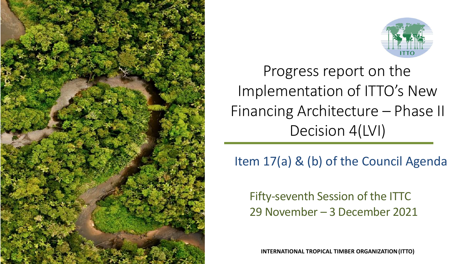



Progress report on the Implementation of ITTO's New Financing Architecture – Phase II Decision 4(LVI)

Item 17(a) & (b) of the Council Agenda

Fifty-seventh Session of the ITTC 29 November – 3 December 2021

**INTERNATIONAL TROPICAL TIMBER ORGANIZATION(ITTO)**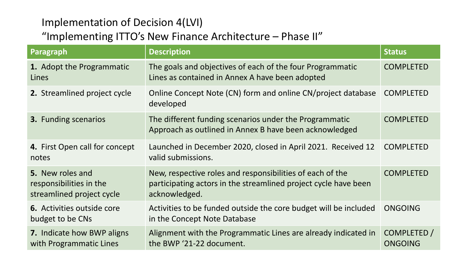#### Implementation of Decision 4(LVI)

## "Implementing ITTO's New Finance Architecture – Phase II"

| Paragraph                                                                | <b>Description</b>                                                                                                                            | <b>Status</b>                 |
|--------------------------------------------------------------------------|-----------------------------------------------------------------------------------------------------------------------------------------------|-------------------------------|
| 1. Adopt the Programmatic<br>Lines                                       | The goals and objectives of each of the four Programmatic<br>Lines as contained in Annex A have been adopted                                  | <b>COMPLETED</b>              |
| 2. Streamlined project cycle                                             | Online Concept Note (CN) form and online CN/project database<br>developed                                                                     | <b>COMPLETED</b>              |
| <b>3.</b> Funding scenarios                                              | The different funding scenarios under the Programmatic<br>Approach as outlined in Annex B have been acknowledged                              | <b>COMPLETED</b>              |
| 4. First Open call for concept<br>notes                                  | Launched in December 2020, closed in April 2021. Received 12<br>valid submissions.                                                            | <b>COMPLETED</b>              |
| 5. New roles and<br>responsibilities in the<br>streamlined project cycle | New, respective roles and responsibilities of each of the<br>participating actors in the streamlined project cycle have been<br>acknowledged. | <b>COMPLETED</b>              |
| <b>6.</b> Activities outside core<br>budget to be CNs                    | Activities to be funded outside the core budget will be included<br>in the Concept Note Database                                              | <b>ONGOING</b>                |
| <b>7.</b> Indicate how BWP aligns<br>with Programmatic Lines             | Alignment with the Programmatic Lines are already indicated in<br>the BWP '21-22 document.                                                    | COMPLETED /<br><b>ONGOING</b> |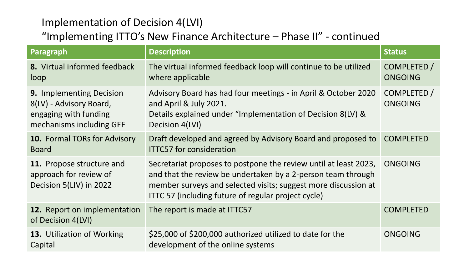### Implementation of Decision 4(LVI)

# "Implementing ITTO's New Finance Architecture – Phase II" - continued

| Paragraph                                                                                                       | <b>Description</b>                                                                                                                                                                                                                                        | <b>Status</b>                 |
|-----------------------------------------------------------------------------------------------------------------|-----------------------------------------------------------------------------------------------------------------------------------------------------------------------------------------------------------------------------------------------------------|-------------------------------|
| 8. Virtual informed feedback<br>loop                                                                            | The virtual informed feedback loop will continue to be utilized<br>where applicable                                                                                                                                                                       | COMPLETED /<br><b>ONGOING</b> |
| <b>9. Implementing Decision</b><br>8(LV) - Advisory Board,<br>engaging with funding<br>mechanisms including GEF | Advisory Board has had four meetings - in April & October 2020<br>and April & July 2021.<br>Details explained under "Implementation of Decision 8(LV) &<br>Decision 4(LVI)                                                                                | COMPLETED /<br><b>ONGOING</b> |
| <b>10.</b> Formal TORs for Advisory<br><b>Board</b>                                                             | Draft developed and agreed by Advisory Board and proposed to<br><b>ITTC57 for consideration</b>                                                                                                                                                           | <b>COMPLETED</b>              |
| 11. Propose structure and<br>approach for review of<br>Decision 5(LIV) in 2022                                  | Secretariat proposes to postpone the review until at least 2023,<br>and that the review be undertaken by a 2-person team through<br>member surveys and selected visits; suggest more discussion at<br>ITTC 57 (including future of regular project cycle) | ONGOING                       |
| 12. Report on implementation<br>of Decision 4(LVI)                                                              | The report is made at ITTC57                                                                                                                                                                                                                              | <b>COMPLETED</b>              |
| <b>13.</b> Utilization of Working<br>Capital                                                                    | \$25,000 of \$200,000 authorized utilized to date for the<br>development of the online systems                                                                                                                                                            | <b>ONGOING</b>                |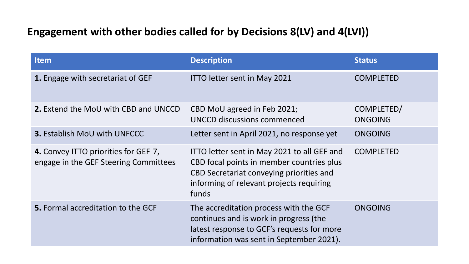## **Engagement with other bodies called for by Decisions 8(LV) and 4(LVI))**

| <b>Item</b>                                                                   | <b>Description</b>                                                                                                                                                                        | <b>Status</b>         |
|-------------------------------------------------------------------------------|-------------------------------------------------------------------------------------------------------------------------------------------------------------------------------------------|-----------------------|
| 1. Engage with secretariat of GEF                                             | <b>ITTO letter sent in May 2021</b>                                                                                                                                                       | <b>COMPLETED</b>      |
| <b>2.</b> Extend the MoU with CBD and UNCCD                                   | CBD MoU agreed in Feb 2021;<br>UNCCD discussions commenced                                                                                                                                | COMPLETED/<br>ONGOING |
| <b>3. Establish MoU with UNFCCC</b>                                           | Letter sent in April 2021, no response yet                                                                                                                                                | ONGOING               |
| 4. Convey ITTO priorities for GEF-7,<br>engage in the GEF Steering Committees | ITTO letter sent in May 2021 to all GEF and<br>CBD focal points in member countries plus<br>CBD Secretariat conveying priorities and<br>informing of relevant projects requiring<br>funds | <b>COMPLETED</b>      |
| <b>5.</b> Formal accreditation to the GCF                                     | The accreditation process with the GCF<br>continues and is work in progress (the<br>latest response to GCF's requests for more<br>information was sent in September 2021).                | ONGOING               |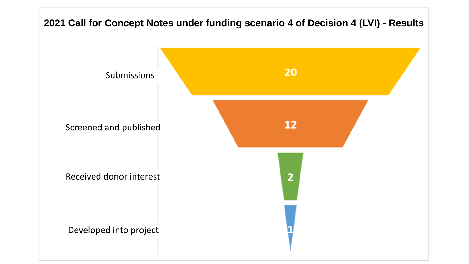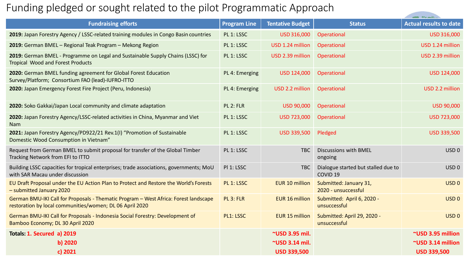## Funding pledged or sought related to the pilot Programmatic Approach

| <b>Fundraising efforts</b>                                                                                                                       | <b>Program Line</b> | <b>Tentative Budget</b> | <b>Status</b>                                              | <b>Actual results to date</b> |
|--------------------------------------------------------------------------------------------------------------------------------------------------|---------------------|-------------------------|------------------------------------------------------------|-------------------------------|
| 2019: Japan Forestry Agency / LSSC-related training modules in Congo Basin countries                                                             | PL 1: LSSC          | USD 316,000             | Operational                                                | USD 316,000                   |
| 2019: German BMEL - Regional Teak Program - Mekong Region                                                                                        | PL 1: LSSC          | USD 1.24 million        | Operational                                                | USD 1.24 million              |
| 2019: German BMEL - Programme on Legal and Sustainable Supply Chains (LSSC) for<br><b>Tropical Wood and Forest Products</b>                      | PL 1: LSSC          | USD 2.39 million        | Operational                                                | USD 2.39 million              |
| 2020: German BMEL funding agreement for Global Forest Education<br>Survey/Platform; Consortium FAO (lead)-IUFRO-ITTO                             | PL 4: Emerging      | <b>USD 124,000</b>      | Operational                                                | <b>USD 124,000</b>            |
| 2020: Japan Emergency Forest Fire Project (Peru, Indonesia)                                                                                      | PL 4: Emerging      | USD 2.2 million         | Operational                                                | USD 2.2 million               |
| 2020: Soko Gakkai/Japan Local community and climate adaptation                                                                                   | PL 2: FLR           | <b>USD 90,000</b>       | Operational                                                | <b>USD 90,000</b>             |
| 2020: Japan Forestry Agency/LSSC-related activities in China, Myanmar and Viet<br><b>Nam</b>                                                     | PL 1: LSSC          | <b>USD 723,000</b>      | Operational                                                | <b>USD 723,000</b>            |
| 2021: Japan Forestry Agency/PD922/21 Rev.1(I) "Promotion of Sustainable<br>Domestic Wood Consumption in Vietnam"                                 | PL 1: LSSC          | <b>USD 339,500</b>      | Pledged                                                    | <b>USD 339,500</b>            |
| Request from German BMEL to submit proposal for transfer of the Global Timber<br>Tracking Network from EFI to ITTO                               | PL 1: LSSC          | <b>TBC</b>              | <b>Discussions with BMEL</b><br>ongoing                    | USD <sub>0</sub>              |
| Building LSSC capacities for tropical enterprises; trade associations, governments; MoU<br>with SAR Macau under discussion                       | PI 1: LSSC          | <b>TBC</b>              | Dialogue started but stalled due to<br>COVID <sub>19</sub> | USD <sub>0</sub>              |
| EU Draft Proposal under the EU Action Plan to Protect and Restore the World's Forests<br>- submitted January 2020                                | PL 1: LSSC          | <b>EUR 10 million</b>   | Submitted: January 31,<br>2020 - unsuccessful              | USD <sub>0</sub>              |
| German BMU-IKI Call for Proposals - Thematic Program - West Africa: Forest landscape<br>restoration by local communities/women; DL 06 April 2020 | PL 3: FLR           | <b>EUR 16 million</b>   | Submitted: April 6, 2020 -<br>unsuccessful                 | USD <sub>0</sub>              |
| German BMU-IKI Call for Proposals - Indonesia Social Forestry: Development of<br>Bamboo Economy; DL 30 April 2020                                | PL1: LSSC           | <b>EUR 15 million</b>   | Submitted: April 29, 2020 -<br>unsuccessful                | USD <sub>0</sub>              |
| Totals: 1. Secured a) 2019                                                                                                                       |                     | ~USD 3.95 mil.          |                                                            | ~USD 3.95 million             |
| $b)$ 2020                                                                                                                                        |                     | ~USD 3.14 mil.          |                                                            | ~USD 3.14 million             |
| c) 2021                                                                                                                                          |                     | <b>USD 339,500</b>      |                                                            | <b>USD 339,500</b>            |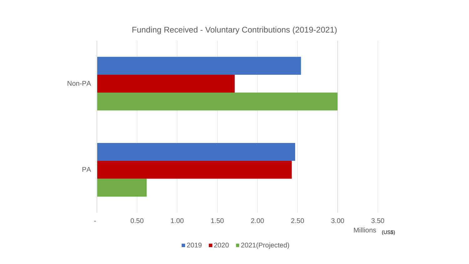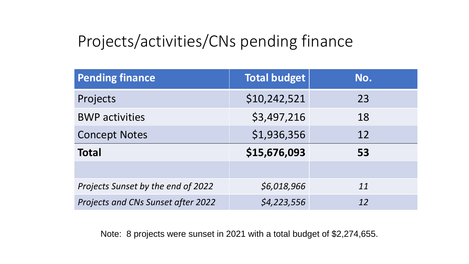# Projects/activities/CNs pending finance

| <b>Pending finance</b>             | <b>Total budget</b> | No. |
|------------------------------------|---------------------|-----|
| Projects                           | \$10,242,521        | 23  |
| <b>BWP</b> activities              | \$3,497,216         | 18  |
| <b>Concept Notes</b>               | \$1,936,356         | 12  |
| <b>Total</b>                       | \$15,676,093        | 53  |
|                                    |                     |     |
| Projects Sunset by the end of 2022 | \$6,018,966         | 11  |
| Projects and CNs Sunset after 2022 | \$4,223,556         | 12  |

Note: 8 projects were sunset in 2021 with a total budget of \$2,274,655.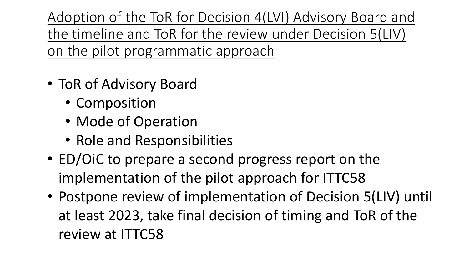Adoption of the ToR for Decision 4(LVI) Advisory Board and the timeline and ToR for the review under Decision 5(LIV) on the pilot programmatic approach

- ToR of Advisory Board
	- Composition
	- Mode of Operation
	- Role and Responsibilities
- ED/OiC to prepare a second progress report on the implementation of the pilot approach for ITTC58
- Postpone review of implementation of Decision 5(LIV) until at least 2023, take final decision of timing and ToR of the review at ITTC58